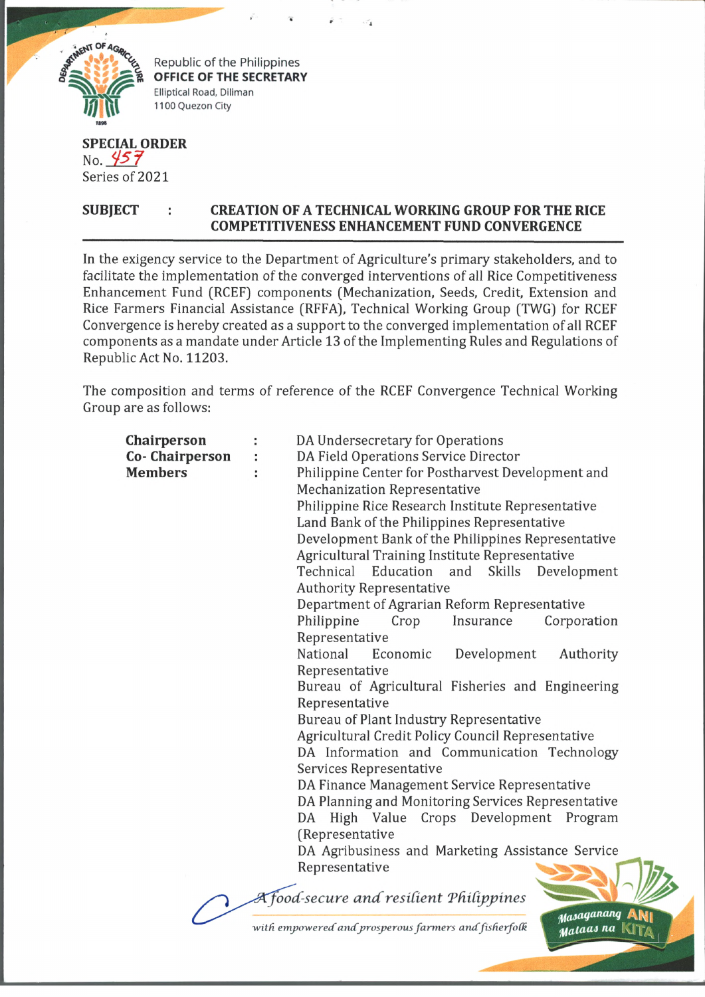

**Republic of the Philippines** Elliptical Road, Diliman 1100 Quezon City

## **SPECIAL ORDER** No.  $457$ Series of 2021

## SUBJECT : CREATION OF A TECHNICAL WORKING GROUP FOR THE RICE **COMPETITIVENESS ENHANCEMENT FUND CONVERGENCE**

In the exigency service to the Department of Agriculture's primary stakeholders, and to facilitate the implementation of the converged interventions of all Rice Competitiveness Enhancement Fund (RCEF) components (Mechanization, Seeds, Credit, Extension and Rice Farmers Financial Assistance (RFFA), Technical Working Group (TWG) for RCEF Convergence is hereby created as a support to the converged implementation of all RCEF components as a mandate under Article 13 of the Implementing Rules and Regulations of Republic Act No. 11203.

The composition and terms of reference of the RCEF Convergence Technical Working Group are as follows:

| Chairperson    | DA Undersecretary for Operations                    |
|----------------|-----------------------------------------------------|
| Co-Chairperson | DA Field Operations Service Director                |
| <b>Members</b> | Philippine Center for Postharvest Development and   |
|                | <b>Mechanization Representative</b>                 |
|                | Philippine Rice Research Institute Representative   |
|                | Land Bank of the Philippines Representative         |
|                | Development Bank of the Philippines Representative  |
|                | Agricultural Training Institute Representative      |
|                | Education and<br>Technical<br>Skills<br>Development |
|                | <b>Authority Representative</b>                     |
|                | Department of Agrarian Reform Representative        |
|                | Philippine<br>Insurance<br>Corporation<br>Crop      |
|                | Representative                                      |
|                | National<br>Development<br>Economic<br>Authority    |
|                | Representative                                      |
|                | Bureau of Agricultural Fisheries and Engineering    |
|                | Representative                                      |
|                | <b>Bureau of Plant Industry Representative</b>      |
|                | Agricultural Credit Policy Council Representative   |
|                | DA Information and Communication Technology         |
|                | Services Representative                             |
|                | DA Finance Management Service Representative        |
|                | DA Planning and Monitoring Services Representative  |
|                | DA High Value Crops Development Program             |
|                | (Representative                                     |
|                | DA Agribusiness and Marketing Assistance Service    |
|                | Representative                                      |
|                |                                                     |
|                | A food-secure and resilient Philippines             |
|                | Masaganang                                          |

with empowered and prosperous farmers and fisherfolk

*yataai na* klT/\